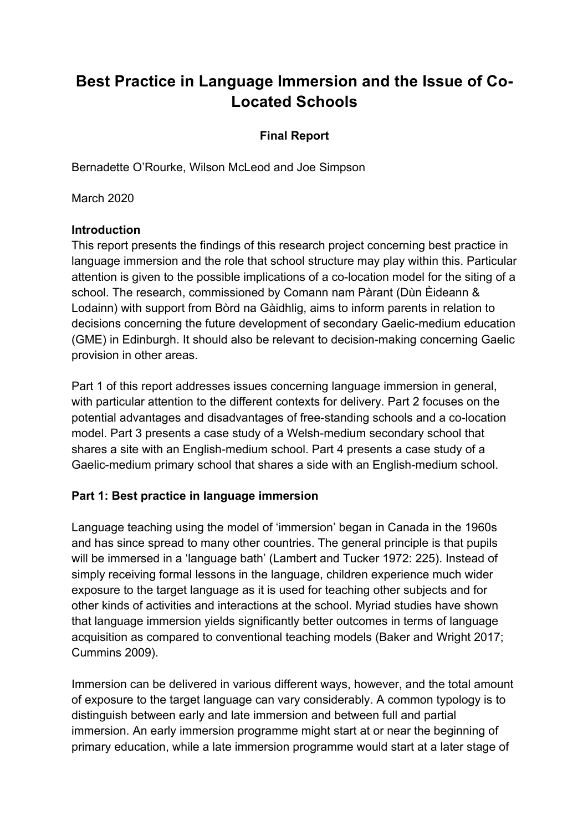# **Best Practice in Language Immersion and the Issue of Co-Located Schools**

## **Final Report**

Bernadette O'Rourke, Wilson McLeod and Joe Simpson

March 2020

### **Introduction**

This report presents the findings of this research project concerning best practice in language immersion and the role that school structure may play within this. Particular attention is given to the possible implications of a co-location model for the siting of a school. The research, commissioned by Comann nam Pàrant (Dùn Èideann & Lodainn) with support from Bòrd na Gàidhlig, aims to inform parents in relation to decisions concerning the future development of secondary Gaelic-medium education (GME) in Edinburgh. It should also be relevant to decision-making concerning Gaelic provision in other areas.

Part 1 of this report addresses issues concerning language immersion in general, with particular attention to the different contexts for delivery. Part 2 focuses on the potential advantages and disadvantages of free-standing schools and a co-location model. Part 3 presents a case study of a Welsh-medium secondary school that shares a site with an English-medium school. Part 4 presents a case study of a Gaelic-medium primary school that shares a side with an English-medium school.

# **Part 1: Best practice in language immersion**

Language teaching using the model of 'immersion' began in Canada in the 1960s and has since spread to many other countries. The general principle is that pupils will be immersed in a 'language bath' (Lambert and Tucker 1972: 225). Instead of simply receiving formal lessons in the language, children experience much wider exposure to the target language as it is used for teaching other subjects and for other kinds of activities and interactions at the school. Myriad studies have shown that language immersion yields significantly better outcomes in terms of language acquisition as compared to conventional teaching models (Baker and Wright 2017; Cummins 2009).

Immersion can be delivered in various different ways, however, and the total amount of exposure to the target language can vary considerably. A common typology is to distinguish between early and late immersion and between full and partial immersion. An early immersion programme might start at or near the beginning of primary education, while a late immersion programme would start at a later stage of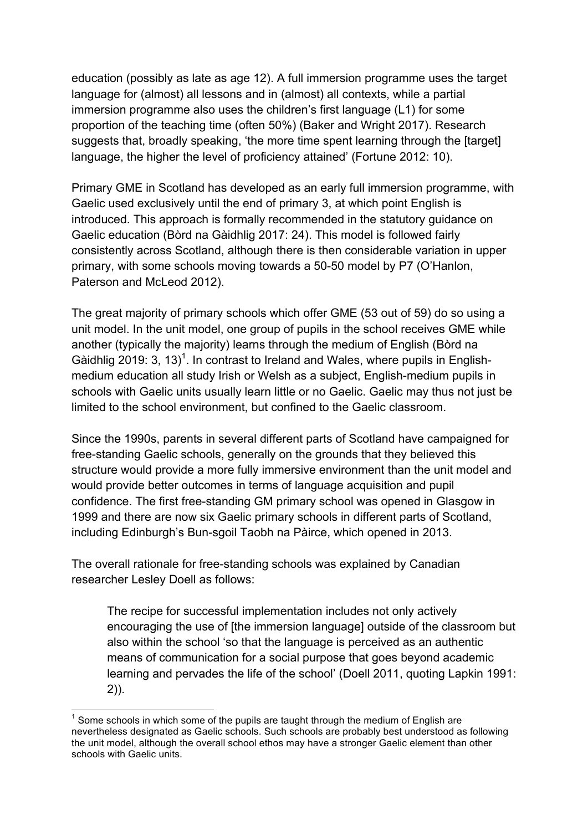education (possibly as late as age 12). A full immersion programme uses the target language for (almost) all lessons and in (almost) all contexts, while a partial immersion programme also uses the children's first language (L1) for some proportion of the teaching time (often 50%) (Baker and Wright 2017). Research suggests that, broadly speaking, 'the more time spent learning through the [target] language, the higher the level of proficiency attained' (Fortune 2012: 10).

Primary GME in Scotland has developed as an early full immersion programme, with Gaelic used exclusively until the end of primary 3, at which point English is introduced. This approach is formally recommended in the statutory guidance on Gaelic education (Bòrd na Gàidhlig 2017: 24). This model is followed fairly consistently across Scotland, although there is then considerable variation in upper primary, with some schools moving towards a 50-50 model by P7 (O'Hanlon, Paterson and McLeod 2012).

The great majority of primary schools which offer GME (53 out of 59) do so using a unit model. In the unit model, one group of pupils in the school receives GME while another (typically the majority) learns through the medium of English (Bòrd na Gàidhlig 2019: 3, 13)<sup>1</sup>. In contrast to Ireland and Wales, where pupils in Englishmedium education all study Irish or Welsh as a subject, English-medium pupils in schools with Gaelic units usually learn little or no Gaelic. Gaelic may thus not just be limited to the school environment, but confined to the Gaelic classroom.

Since the 1990s, parents in several different parts of Scotland have campaigned for free-standing Gaelic schools, generally on the grounds that they believed this structure would provide a more fully immersive environment than the unit model and would provide better outcomes in terms of language acquisition and pupil confidence. The first free-standing GM primary school was opened in Glasgow in 1999 and there are now six Gaelic primary schools in different parts of Scotland, including Edinburgh's Bun-sgoil Taobh na Pàirce, which opened in 2013.

The overall rationale for free-standing schools was explained by Canadian researcher Lesley Doell as follows:

The recipe for successful implementation includes not only actively encouraging the use of [the immersion language] outside of the classroom but also within the school 'so that the language is perceived as an authentic means of communication for a social purpose that goes beyond academic learning and pervades the life of the school' (Doell 2011, quoting Lapkin 1991: 2)).

Some schools in which some of the pupils are taught through the medium of English are nevertheless designated as Gaelic schools. Such schools are probably best understood as following the unit model, although the overall school ethos may have a stronger Gaelic element than other schools with Gaelic units.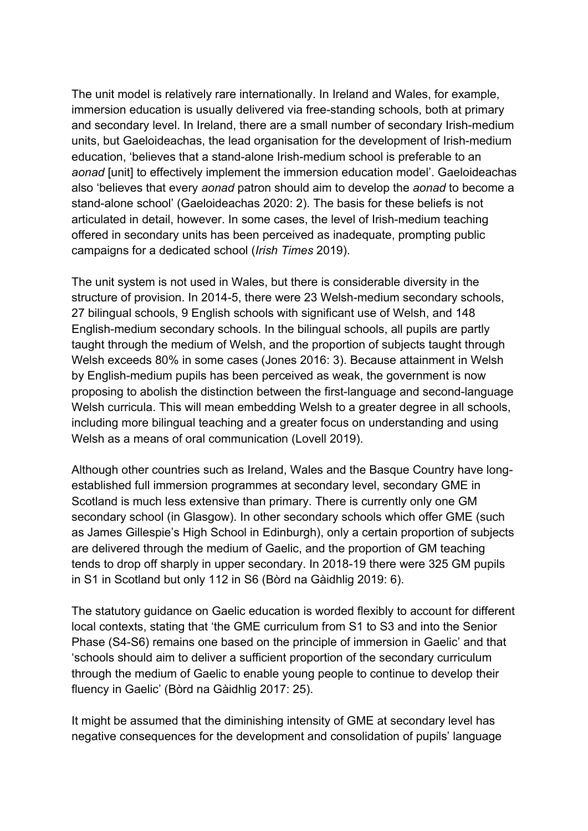The unit model is relatively rare internationally. In Ireland and Wales, for example, immersion education is usually delivered via free-standing schools, both at primary and secondary level. In Ireland, there are a small number of secondary Irish-medium units, but Gaeloideachas, the lead organisation for the development of Irish-medium education, 'believes that a stand-alone Irish-medium school is preferable to an *aonad* [unit] to effectively implement the immersion education model'. Gaeloideachas also 'believes that every *aonad* patron should aim to develop the *aonad* to become a stand-alone school' (Gaeloideachas 2020: 2). The basis for these beliefs is not articulated in detail, however. In some cases, the level of Irish-medium teaching offered in secondary units has been perceived as inadequate, prompting public campaigns for a dedicated school (*Irish Times* 2019).

The unit system is not used in Wales, but there is considerable diversity in the structure of provision. In 2014-5, there were 23 Welsh-medium secondary schools, 27 bilingual schools, 9 English schools with significant use of Welsh, and 148 English-medium secondary schools. In the bilingual schools, all pupils are partly taught through the medium of Welsh, and the proportion of subjects taught through Welsh exceeds 80% in some cases (Jones 2016: 3). Because attainment in Welsh by English-medium pupils has been perceived as weak, the government is now proposing to abolish the distinction between the first-language and second-language Welsh curricula. This will mean embedding Welsh to a greater degree in all schools, including more bilingual teaching and a greater focus on understanding and using Welsh as a means of oral communication (Lovell 2019).

Although other countries such as Ireland, Wales and the Basque Country have longestablished full immersion programmes at secondary level, secondary GME in Scotland is much less extensive than primary. There is currently only one GM secondary school (in Glasgow). In other secondary schools which offer GME (such as James Gillespie's High School in Edinburgh), only a certain proportion of subjects are delivered through the medium of Gaelic, and the proportion of GM teaching tends to drop off sharply in upper secondary. In 2018-19 there were 325 GM pupils in S1 in Scotland but only 112 in S6 (Bòrd na Gàidhlig 2019: 6).

The statutory guidance on Gaelic education is worded flexibly to account for different local contexts, stating that 'the GME curriculum from S1 to S3 and into the Senior Phase (S4-S6) remains one based on the principle of immersion in Gaelic' and that 'schools should aim to deliver a sufficient proportion of the secondary curriculum through the medium of Gaelic to enable young people to continue to develop their fluency in Gaelic' (Bòrd na Gàidhlig 2017: 25).

It might be assumed that the diminishing intensity of GME at secondary level has negative consequences for the development and consolidation of pupils' language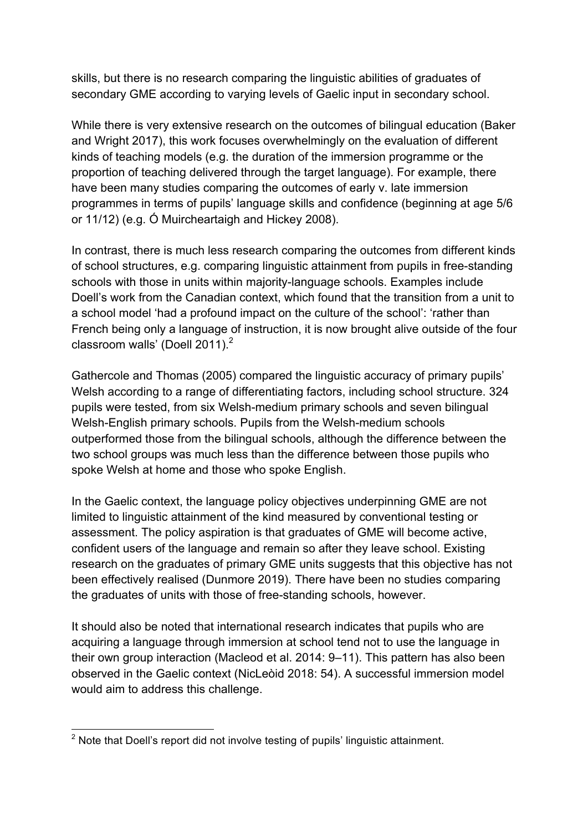skills, but there is no research comparing the linguistic abilities of graduates of secondary GME according to varying levels of Gaelic input in secondary school.

While there is very extensive research on the outcomes of bilingual education (Baker and Wright 2017), this work focuses overwhelmingly on the evaluation of different kinds of teaching models (e.g. the duration of the immersion programme or the proportion of teaching delivered through the target language). For example, there have been many studies comparing the outcomes of early v. late immersion programmes in terms of pupils' language skills and confidence (beginning at age 5/6 or 11/12) (e.g. Ó Muircheartaigh and Hickey 2008).

In contrast, there is much less research comparing the outcomes from different kinds of school structures, e.g. comparing linguistic attainment from pupils in free-standing schools with those in units within majority-language schools. Examples include Doell's work from the Canadian context, which found that the transition from a unit to a school model 'had a profound impact on the culture of the school': 'rather than French being only a language of instruction, it is now brought alive outside of the four classroom walls' (Doell 2011).<sup>2</sup>

Gathercole and Thomas (2005) compared the linguistic accuracy of primary pupils' Welsh according to a range of differentiating factors, including school structure. 324 pupils were tested, from six Welsh-medium primary schools and seven bilingual Welsh-English primary schools. Pupils from the Welsh-medium schools outperformed those from the bilingual schools, although the difference between the two school groups was much less than the difference between those pupils who spoke Welsh at home and those who spoke English.

In the Gaelic context, the language policy objectives underpinning GME are not limited to linguistic attainment of the kind measured by conventional testing or assessment. The policy aspiration is that graduates of GME will become active, confident users of the language and remain so after they leave school. Existing research on the graduates of primary GME units suggests that this objective has not been effectively realised (Dunmore 2019). There have been no studies comparing the graduates of units with those of free-standing schools, however.

It should also be noted that international research indicates that pupils who are acquiring a language through immersion at school tend not to use the language in their own group interaction (Macleod et al. 2014: 9–11). This pattern has also been observed in the Gaelic context (NicLeòid 2018: 54). A successful immersion model would aim to address this challenge.

<sup>&</sup>lt;sup>2</sup> Note that Doell's report did not involve testing of pupils' linguistic attainment.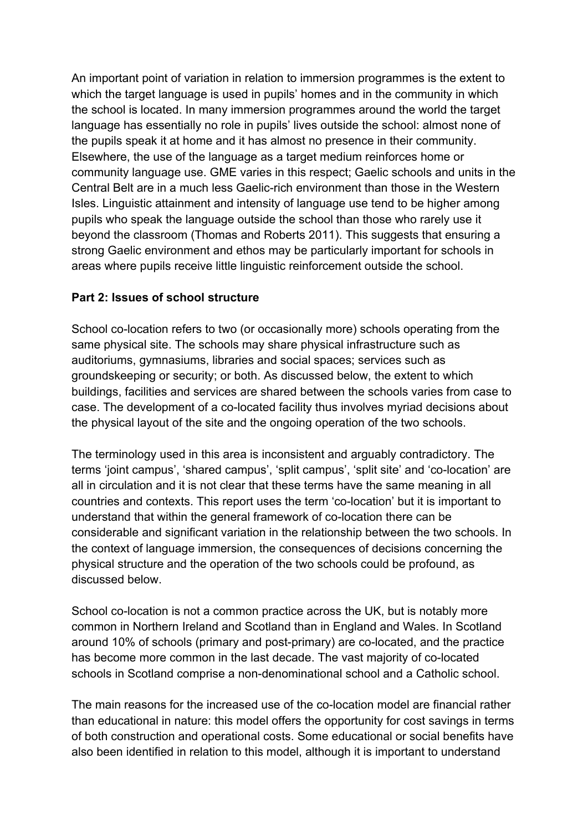An important point of variation in relation to immersion programmes is the extent to which the target language is used in pupils' homes and in the community in which the school is located. In many immersion programmes around the world the target language has essentially no role in pupils' lives outside the school: almost none of the pupils speak it at home and it has almost no presence in their community. Elsewhere, the use of the language as a target medium reinforces home or community language use. GME varies in this respect; Gaelic schools and units in the Central Belt are in a much less Gaelic-rich environment than those in the Western Isles. Linguistic attainment and intensity of language use tend to be higher among pupils who speak the language outside the school than those who rarely use it beyond the classroom (Thomas and Roberts 2011). This suggests that ensuring a strong Gaelic environment and ethos may be particularly important for schools in areas where pupils receive little linguistic reinforcement outside the school.

## **Part 2: Issues of school structure**

School co-location refers to two (or occasionally more) schools operating from the same physical site. The schools may share physical infrastructure such as auditoriums, gymnasiums, libraries and social spaces; services such as groundskeeping or security; or both. As discussed below, the extent to which buildings, facilities and services are shared between the schools varies from case to case. The development of a co-located facility thus involves myriad decisions about the physical layout of the site and the ongoing operation of the two schools.

The terminology used in this area is inconsistent and arguably contradictory. The terms 'joint campus', 'shared campus', 'split campus', 'split site' and 'co-location' are all in circulation and it is not clear that these terms have the same meaning in all countries and contexts. This report uses the term 'co-location' but it is important to understand that within the general framework of co-location there can be considerable and significant variation in the relationship between the two schools. In the context of language immersion, the consequences of decisions concerning the physical structure and the operation of the two schools could be profound, as discussed below.

School co-location is not a common practice across the UK, but is notably more common in Northern Ireland and Scotland than in England and Wales. In Scotland around 10% of schools (primary and post-primary) are co-located, and the practice has become more common in the last decade. The vast majority of co-located schools in Scotland comprise a non-denominational school and a Catholic school.

The main reasons for the increased use of the co-location model are financial rather than educational in nature: this model offers the opportunity for cost savings in terms of both construction and operational costs. Some educational or social benefits have also been identified in relation to this model, although it is important to understand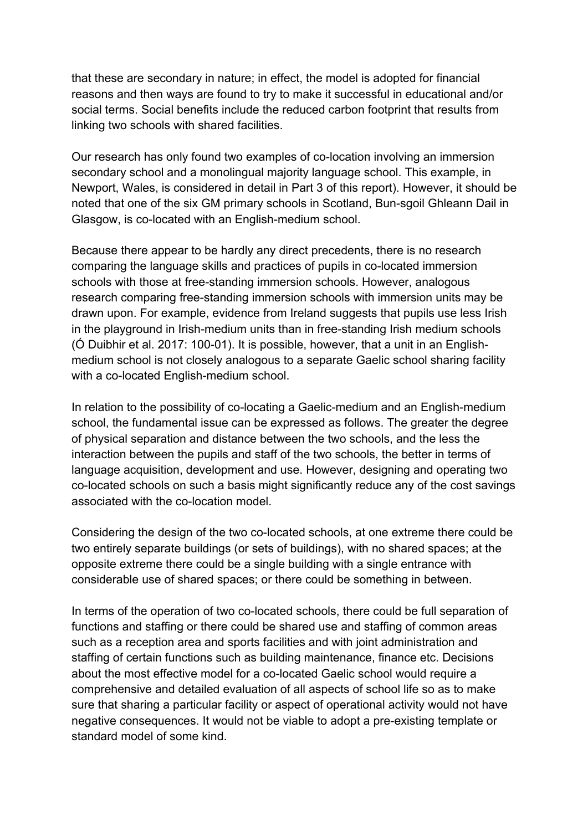that these are secondary in nature; in effect, the model is adopted for financial reasons and then ways are found to try to make it successful in educational and/or social terms. Social benefits include the reduced carbon footprint that results from linking two schools with shared facilities.

Our research has only found two examples of co-location involving an immersion secondary school and a monolingual majority language school. This example, in Newport, Wales, is considered in detail in Part 3 of this report). However, it should be noted that one of the six GM primary schools in Scotland, Bun-sgoil Ghleann Dail in Glasgow, is co-located with an English-medium school.

Because there appear to be hardly any direct precedents, there is no research comparing the language skills and practices of pupils in co-located immersion schools with those at free-standing immersion schools. However, analogous research comparing free-standing immersion schools with immersion units may be drawn upon. For example, evidence from Ireland suggests that pupils use less Irish in the playground in Irish-medium units than in free-standing Irish medium schools (Ó Duibhir et al. 2017: 100-01). It is possible, however, that a unit in an Englishmedium school is not closely analogous to a separate Gaelic school sharing facility with a co-located English-medium school.

In relation to the possibility of co-locating a Gaelic-medium and an English-medium school, the fundamental issue can be expressed as follows. The greater the degree of physical separation and distance between the two schools, and the less the interaction between the pupils and staff of the two schools, the better in terms of language acquisition, development and use. However, designing and operating two co-located schools on such a basis might significantly reduce any of the cost savings associated with the co-location model.

Considering the design of the two co-located schools, at one extreme there could be two entirely separate buildings (or sets of buildings), with no shared spaces; at the opposite extreme there could be a single building with a single entrance with considerable use of shared spaces; or there could be something in between.

In terms of the operation of two co-located schools, there could be full separation of functions and staffing or there could be shared use and staffing of common areas such as a reception area and sports facilities and with joint administration and staffing of certain functions such as building maintenance, finance etc. Decisions about the most effective model for a co-located Gaelic school would require a comprehensive and detailed evaluation of all aspects of school life so as to make sure that sharing a particular facility or aspect of operational activity would not have negative consequences. It would not be viable to adopt a pre-existing template or standard model of some kind.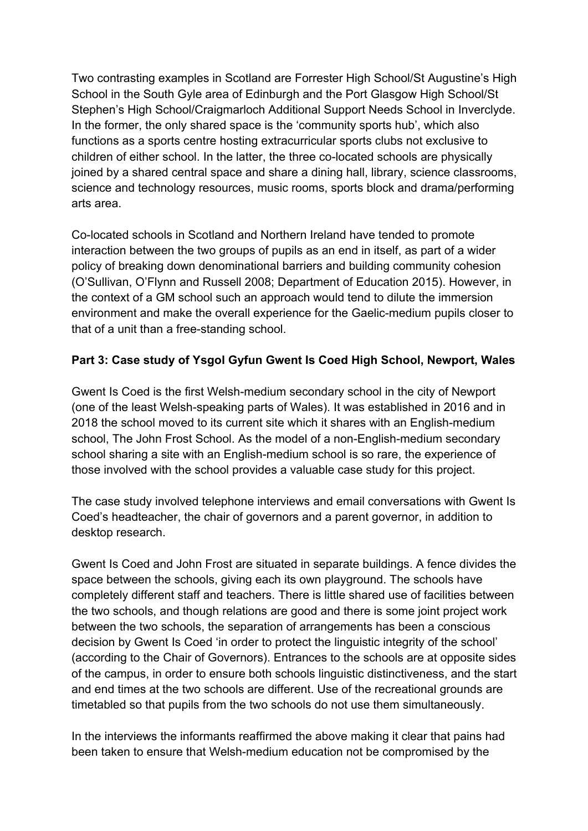Two contrasting examples in Scotland are Forrester High School/St Augustine's High School in the South Gyle area of Edinburgh and the Port Glasgow High School/St Stephen's High School/Craigmarloch Additional Support Needs School in Inverclyde. In the former, the only shared space is the 'community sports hub', which also functions as a sports centre hosting extracurricular sports clubs not exclusive to children of either school. In the latter, the three co-located schools are physically joined by a shared central space and share a dining hall, library, science classrooms, science and technology resources, music rooms, sports block and drama/performing arts area.

Co-located schools in Scotland and Northern Ireland have tended to promote interaction between the two groups of pupils as an end in itself, as part of a wider policy of breaking down denominational barriers and building community cohesion (O'Sullivan, O'Flynn and Russell 2008; Department of Education 2015). However, in the context of a GM school such an approach would tend to dilute the immersion environment and make the overall experience for the Gaelic-medium pupils closer to that of a unit than a free-standing school.

# **Part 3: Case study of Ysgol Gyfun Gwent Is Coed High School, Newport, Wales**

Gwent Is Coed is the first Welsh-medium secondary school in the city of Newport (one of the least Welsh-speaking parts of Wales). It was established in 2016 and in 2018 the school moved to its current site which it shares with an English-medium school, The John Frost School. As the model of a non-English-medium secondary school sharing a site with an English-medium school is so rare, the experience of those involved with the school provides a valuable case study for this project.

The case study involved telephone interviews and email conversations with Gwent Is Coed's headteacher, the chair of governors and a parent governor, in addition to desktop research.

Gwent Is Coed and John Frost are situated in separate buildings. A fence divides the space between the schools, giving each its own playground. The schools have completely different staff and teachers. There is little shared use of facilities between the two schools, and though relations are good and there is some joint project work between the two schools, the separation of arrangements has been a conscious decision by Gwent Is Coed 'in order to protect the linguistic integrity of the school' (according to the Chair of Governors). Entrances to the schools are at opposite sides of the campus, in order to ensure both schools linguistic distinctiveness, and the start and end times at the two schools are different. Use of the recreational grounds are timetabled so that pupils from the two schools do not use them simultaneously.

In the interviews the informants reaffirmed the above making it clear that pains had been taken to ensure that Welsh-medium education not be compromised by the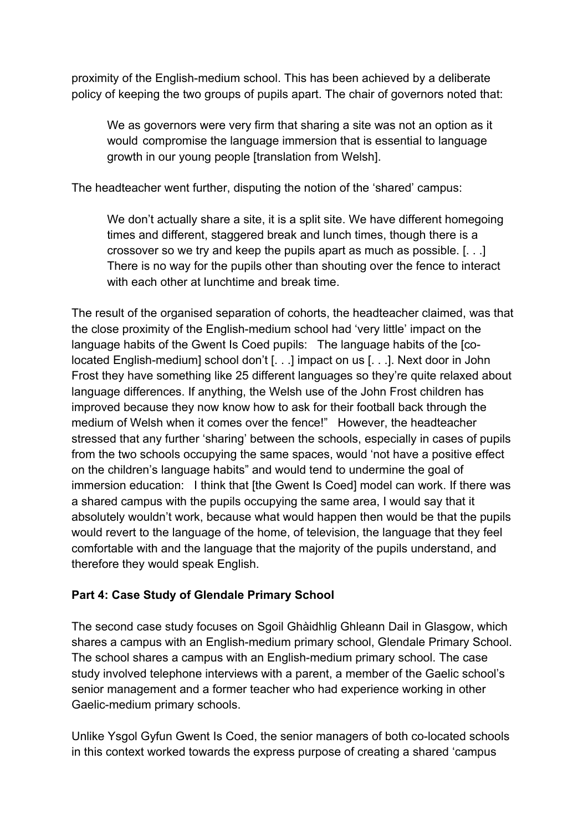proximity of the English-medium school. This has been achieved by a deliberate policy of keeping the two groups of pupils apart. The chair of governors noted that:

We as governors were very firm that sharing a site was not an option as it would compromise the language immersion that is essential to language growth in our young people [translation from Welsh].

The headteacher went further, disputing the notion of the 'shared' campus:

We don't actually share a site, it is a split site. We have different homegoing times and different, staggered break and lunch times, though there is a crossover so we try and keep the pupils apart as much as possible. [. . .] There is no way for the pupils other than shouting over the fence to interact with each other at lunchtime and break time.

The result of the organised separation of cohorts, the headteacher claimed, was that the close proximity of the English-medium school had 'very little' impact on the language habits of the Gwent Is Coed pupils: The language habits of the [colocated English-medium] school don't [. . .] impact on us [. . .]. Next door in John Frost they have something like 25 different languages so they're quite relaxed about language differences. If anything, the Welsh use of the John Frost children has improved because they now know how to ask for their football back through the medium of Welsh when it comes over the fence!" However, the headteacher stressed that any further 'sharing' between the schools, especially in cases of pupils from the two schools occupying the same spaces, would 'not have a positive effect on the children's language habits" and would tend to undermine the goal of immersion education: I think that [the Gwent Is Coed] model can work. If there was a shared campus with the pupils occupying the same area, I would say that it absolutely wouldn't work, because what would happen then would be that the pupils would revert to the language of the home, of television, the language that they feel comfortable with and the language that the majority of the pupils understand, and therefore they would speak English.

# **Part 4: Case Study of Glendale Primary School**

The second case study focuses on Sgoil Ghàidhlig Ghleann Dail in Glasgow, which shares a campus with an English-medium primary school, Glendale Primary School. The school shares a campus with an English-medium primary school. The case study involved telephone interviews with a parent, a member of the Gaelic school's senior management and a former teacher who had experience working in other Gaelic-medium primary schools.

Unlike Ysgol Gyfun Gwent Is Coed, the senior managers of both co-located schools in this context worked towards the express purpose of creating a shared 'campus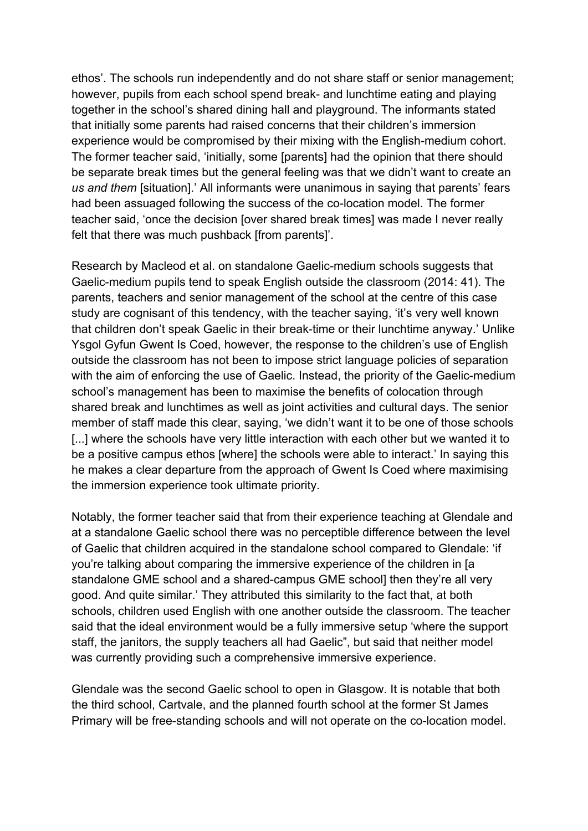ethos'. The schools run independently and do not share staff or senior management; however, pupils from each school spend break- and lunchtime eating and playing together in the school's shared dining hall and playground. The informants stated that initially some parents had raised concerns that their children's immersion experience would be compromised by their mixing with the English-medium cohort. The former teacher said, 'initially, some [parents] had the opinion that there should be separate break times but the general feeling was that we didn't want to create an *us and them* [situation].' All informants were unanimous in saying that parents' fears had been assuaged following the success of the co-location model. The former teacher said, 'once the decision [over shared break times] was made I never really felt that there was much pushback [from parents]'.

Research by Macleod et al. on standalone Gaelic-medium schools suggests that Gaelic-medium pupils tend to speak English outside the classroom (2014: 41). The parents, teachers and senior management of the school at the centre of this case study are cognisant of this tendency, with the teacher saying, 'it's very well known that children don't speak Gaelic in their break-time or their lunchtime anyway.' Unlike Ysgol Gyfun Gwent Is Coed, however, the response to the children's use of English outside the classroom has not been to impose strict language policies of separation with the aim of enforcing the use of Gaelic. Instead, the priority of the Gaelic-medium school's management has been to maximise the benefits of colocation through shared break and lunchtimes as well as joint activities and cultural days. The senior member of staff made this clear, saying, 'we didn't want it to be one of those schools [...] where the schools have very little interaction with each other but we wanted it to be a positive campus ethos [where] the schools were able to interact.' In saying this he makes a clear departure from the approach of Gwent Is Coed where maximising the immersion experience took ultimate priority.

Notably, the former teacher said that from their experience teaching at Glendale and at a standalone Gaelic school there was no perceptible difference between the level of Gaelic that children acquired in the standalone school compared to Glendale: 'if you're talking about comparing the immersive experience of the children in [a standalone GME school and a shared-campus GME school] then they're all very good. And quite similar.' They attributed this similarity to the fact that, at both schools, children used English with one another outside the classroom. The teacher said that the ideal environment would be a fully immersive setup 'where the support staff, the janitors, the supply teachers all had Gaelic", but said that neither model was currently providing such a comprehensive immersive experience.

Glendale was the second Gaelic school to open in Glasgow. It is notable that both the third school, Cartvale, and the planned fourth school at the former St James Primary will be free-standing schools and will not operate on the co-location model.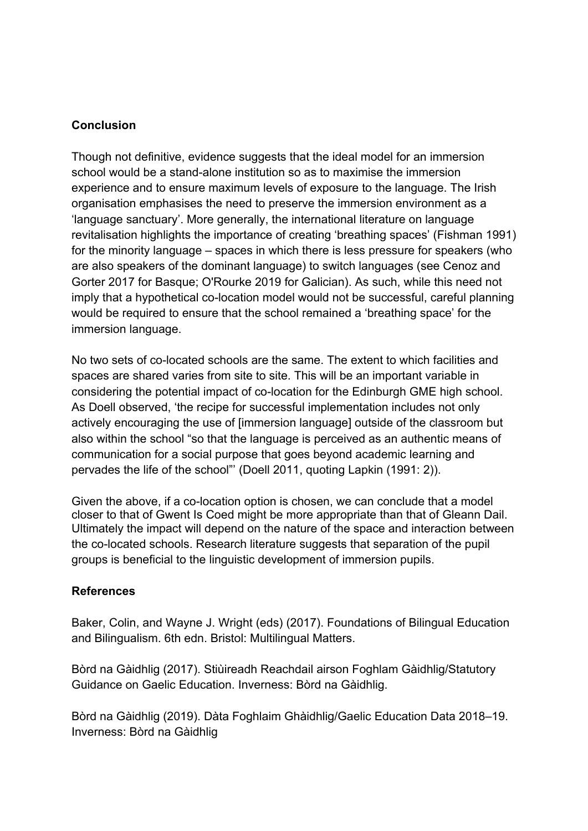### **Conclusion**

Though not definitive, evidence suggests that the ideal model for an immersion school would be a stand-alone institution so as to maximise the immersion experience and to ensure maximum levels of exposure to the language. The Irish organisation emphasises the need to preserve the immersion environment as a 'language sanctuary'. More generally, the international literature on language revitalisation highlights the importance of creating 'breathing spaces' (Fishman 1991) for the minority language – spaces in which there is less pressure for speakers (who are also speakers of the dominant language) to switch languages (see Cenoz and Gorter 2017 for Basque; O'Rourke 2019 for Galician). As such, while this need not imply that a hypothetical co-location model would not be successful, careful planning would be required to ensure that the school remained a 'breathing space' for the immersion language.

No two sets of co-located schools are the same. The extent to which facilities and spaces are shared varies from site to site. This will be an important variable in considering the potential impact of co-location for the Edinburgh GME high school. As Doell observed, 'the recipe for successful implementation includes not only actively encouraging the use of [immersion language] outside of the classroom but also within the school "so that the language is perceived as an authentic means of communication for a social purpose that goes beyond academic learning and pervades the life of the school"' (Doell 2011, quoting Lapkin (1991: 2)).

Given the above, if a co-location option is chosen, we can conclude that a model closer to that of Gwent Is Coed might be more appropriate than that of Gleann Dail. Ultimately the impact will depend on the nature of the space and interaction between the co-located schools. Research literature suggests that separation of the pupil groups is beneficial to the linguistic development of immersion pupils.

### **References**

Baker, Colin, and Wayne J. Wright (eds) (2017). Foundations of Bilingual Education and Bilingualism. 6th edn. Bristol: Multilingual Matters.

Bòrd na Gàidhlig (2017). Stiùireadh Reachdail airson Foghlam Gàidhlig/Statutory Guidance on Gaelic Education. Inverness: Bòrd na Gàidhlig.

Bòrd na Gàidhlig (2019). Dàta Foghlaim Ghàidhlig/Gaelic Education Data 2018–19. Inverness: Bòrd na Gàidhlig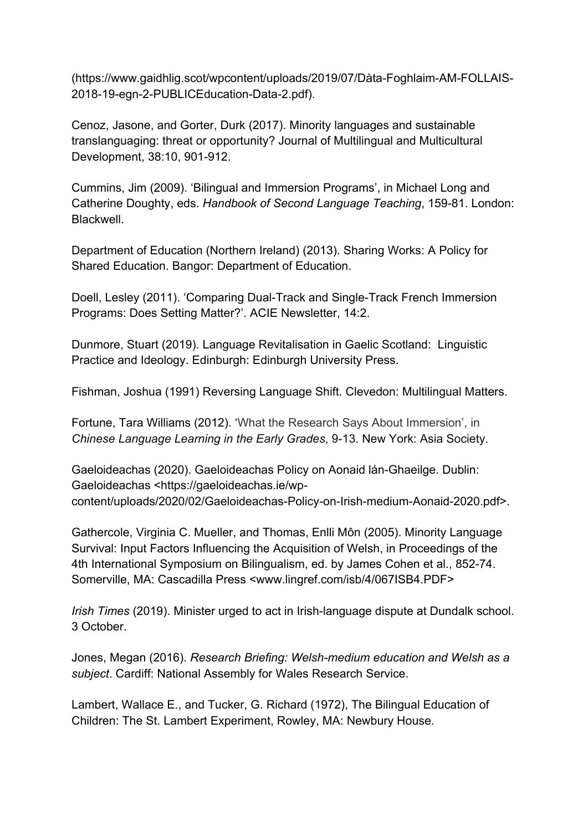(https://www.gaidhlig.scot/wpcontent/uploads/2019/07/Dàta-Foghlaim-AM-FOLLAIS-2018-19-egn-2-PUBLICEducation-Data-2.pdf).

Cenoz, Jasone, and Gorter, Durk (2017). Minority languages and sustainable translanguaging: threat or opportunity? Journal of Multilingual and Multicultural Development, 38:10, 901-912.

Cummins, Jim (2009). 'Bilingual and Immersion Programs', in Michael Long and Catherine Doughty, eds. *Handbook of Second Language Teaching*, 159-81. London: Blackwell.

Department of Education (Northern Ireland) (2013). Sharing Works: A Policy for Shared Education. Bangor: Department of Education.

Doell, Lesley (2011). 'Comparing Dual-Track and Single-Track French Immersion Programs: Does Setting Matter?'. ACIE Newsletter, 14:2.

Dunmore, Stuart (2019). Language Revitalisation in Gaelic Scotland: Linguistic Practice and Ideology. Edinburgh: Edinburgh University Press.

Fishman, Joshua (1991) Reversing Language Shift. Clevedon: Multilingual Matters.

Fortune, Tara Williams (2012). 'What the Research Says About Immersion', in *Chinese Language Learning in the Early Grades*, 9-13. New York: Asia Society.

Gaeloideachas (2020). Gaeloideachas Policy on Aonaid lán-Ghaeilge. Dublin: Gaeloideachas <https://gaeloideachas.ie/wpcontent/uploads/2020/02/Gaeloideachas-Policy-on-Irish-medium-Aonaid-2020.pdf>.

Gathercole, Virginia C. Mueller, and Thomas, Enlli Môn (2005). Minority Language Survival: Input Factors Influencing the Acquisition of Welsh, in Proceedings of the 4th International Symposium on Bilingualism, ed. by James Cohen et al., 852-74. Somerville, MA: Cascadilla Press <www.lingref.com/isb/4/067ISB4.PDF>

*Irish Times* (2019). Minister urged to act in Irish-language dispute at Dundalk school. 3 October.

Jones, Megan (2016). *Research Briefing: Welsh-medium education and Welsh as a subject*. Cardiff: National Assembly for Wales Research Service.

Lambert, Wallace E., and Tucker, G. Richard (1972), The Bilingual Education of Children: The St. Lambert Experiment, Rowley, MA: Newbury House.